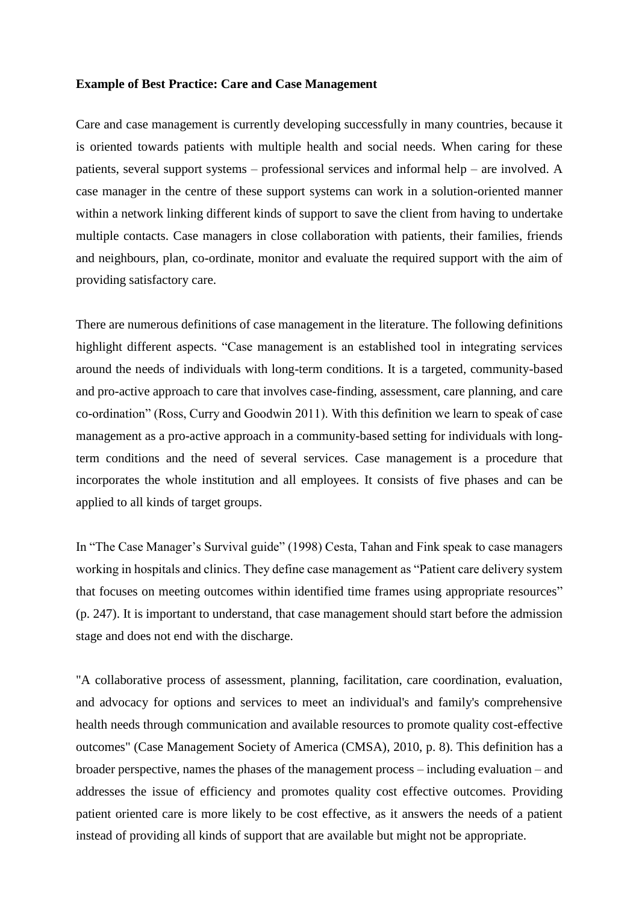## **Example of Best Practice: Care and Case Management**

Care and case management is currently developing successfully in many countries, because it is oriented towards patients with multiple health and social needs. When caring for these patients, several support systems – professional services and informal help – are involved. A case manager in the centre of these support systems can work in a solution-oriented manner within a network linking different kinds of support to save the client from having to undertake multiple contacts. Case managers in close collaboration with patients, their families, friends and neighbours, plan, co-ordinate, monitor and evaluate the required support with the aim of providing satisfactory care.

There are numerous definitions of case management in the literature. The following definitions highlight different aspects. "Case management is an established tool in integrating services around the needs of individuals with long-term conditions. It is a targeted, community-based and pro-active approach to care that involves case-finding, assessment, care planning, and care co-ordination" (Ross, Curry and Goodwin 2011). With this definition we learn to speak of case management as a pro-active approach in a community-based setting for individuals with longterm conditions and the need of several services. Case management is a procedure that incorporates the whole institution and all employees. It consists of five phases and can be applied to all kinds of target groups.

In "The Case Manager's Survival guide" (1998) Cesta, Tahan and Fink speak to case managers working in hospitals and clinics. They define case management as "Patient care delivery system that focuses on meeting outcomes within identified time frames using appropriate resources" (p. 247). It is important to understand, that case management should start before the admission stage and does not end with the discharge.

"A collaborative process of assessment, planning, facilitation, care coordination, evaluation, and advocacy for options and services to meet an individual's and family's comprehensive health needs through communication and available resources to promote quality cost-effective outcomes" (Case Management Society of America (CMSA), 2010, p. 8). This definition has a broader perspective, names the phases of the management process – including evaluation – and addresses the issue of efficiency and promotes quality cost effective outcomes. Providing patient oriented care is more likely to be cost effective, as it answers the needs of a patient instead of providing all kinds of support that are available but might not be appropriate.